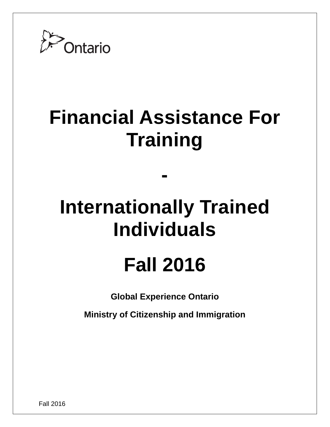

# **Financial Assistance For Training**

# **Internationally Trained Individuals**

**-**

# **Fall 2016**

**Global Experience Ontario**

**Ministry of Citizenship and Immigration**

Fall 2016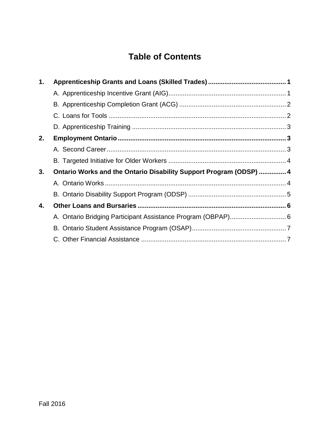# **Table of Contents**

| 1. |                                                                   |  |
|----|-------------------------------------------------------------------|--|
|    |                                                                   |  |
|    |                                                                   |  |
|    |                                                                   |  |
|    |                                                                   |  |
| 2. |                                                                   |  |
|    |                                                                   |  |
|    |                                                                   |  |
| 3. | Ontario Works and the Ontario Disability Support Program (ODSP) 4 |  |
|    |                                                                   |  |
|    |                                                                   |  |
| 4. |                                                                   |  |
|    |                                                                   |  |
|    |                                                                   |  |
|    |                                                                   |  |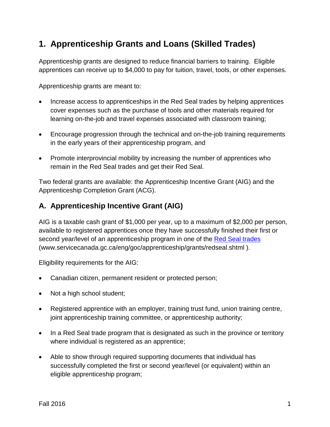# **1. Apprenticeship Grants and Loans (Skilled Trades)**

Apprenticeship grants are designed to reduce financial barriers to training. Eligible apprentices can receive up to \$4,000 to pay for tuition, travel, tools, or other expenses.

Apprenticeship grants are meant to:

- Increase access to apprenticeships in the Red Seal trades by helping apprentices cover expenses such as the purchase of tools and other materials required for learning on-the-job and travel expenses associated with classroom training;
- Encourage progression through the technical and on-the-job training requirements in the early years of their apprenticeship program, and
- Promote interprovincial mobility by increasing the number of apprentices who remain in the Red Seal trades and get their Red Seal.

Two federal grants are available: the Apprenticeship Incentive Grant (AIG) and the Apprenticeship Completion Grant (ACG).

## <span id="page-2-0"></span>**A. Apprenticeship Incentive Grant (AIG)**

AIG is a taxable cash grant of \$1,000 per year, up to a maximum of \$2,000 per person, available to registered apprentices once they have successfully finished their first or second year/level of an apprenticeship program in one of the [Red Seal trades](http://www.servicecanada.gc.ca/eng/goc/apprenticeship/grants/redseal.shtml) [\(www.servicecanada.gc.ca/eng/goc/apprenticeship/grants/redseal.shtml](http://www.servicecanada.gc.ca/eng/goc/apprenticeship/grants/redseal.shtml) ).

Eligibility requirements for the AIG:

- Canadian citizen, permanent resident or protected person;
- Not a [high school student;](http://www.servicecanada.gc.ca/eng/goc/apprenticeship/incentivegrant/faq/eligibility.shtml%23a1)
- Registered apprentice with an employer, training trust fund, union training centre, joint apprenticeship training committee, or apprenticeship authority;
- In a Red Seal trade program that is designated as such in the [province or territory](http://www.servicecanada.gc.ca/eng/goc/apprenticeship/grants/redseal.shtml) where individual is registered as an apprentice;
- Able to show through required [supporting documents](http://www.servicecanada.gc.ca/eng/goc/apprenticeship/incentivegrant/documents.shtml) that individual has successfully completed the first or second year/level (or equivalent) within an eligible apprenticeship program;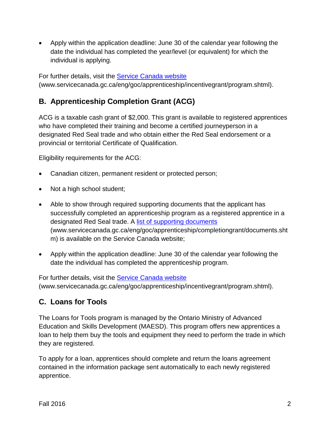• Apply within the application deadline: June 30 of the calendar year following the date the individual has completed the year/level (or equivalent) for which the individual is applying.

For further details, visit the [Service Canada website](http://www.servicecanada.gc.ca/eng/goc/apprenticeship/incentivegrant/program.shtml) [\(www.servicecanada.gc.ca/eng/goc/apprenticeship/incentivegrant/program.shtml\)](http://www.servicecanada.gc.ca/eng/goc/apprenticeship/incentivegrant/program.shtml).

## <span id="page-3-0"></span>**B. Apprenticeship Completion Grant (ACG)**

ACG is a taxable cash grant of \$2,000. This grant is available to registered apprentices who have completed their training and become a certified journeyperson in a designated Red Seal trade and who obtain either the Red Seal endorsement or a provincial or territorial Certificate of Qualification.

Eligibility requirements for the ACG:

- Canadian citizen, permanent resident or protected person;
- Not a [high school student;](http://www.servicecanada.gc.ca/eng/goc/apprenticeship/completiongrant/faq/eligibility.shtml%23a2)
- Able to show through required supporting documents that the applicant has successfully completed an apprenticeship program as a registered apprentice in a designated Red Seal trade. A [list of supporting documents](http://www.servicecanada.gc.ca/eng/goc/apprenticeship/completiongrant/documents.shtm) [\(www.servicecanada.gc.ca/eng/goc/apprenticeship/completiongrant/documents.sht](http://www.servicecanada.gc.ca/eng/goc/apprenticeship/completiongrant/documents.shtm) [m\)](http://www.servicecanada.gc.ca/eng/goc/apprenticeship/completiongrant/documents.shtm) is available on the Service Canada website;
- Apply within the application deadline: June 30 of the calendar year following the date the individual has completed the apprenticeship program.

<span id="page-3-1"></span>For further details, visit the [Service Canada website](http://www.servicecanada.gc.ca/eng/goc/apprenticeship/incentivegrant/program.shtml) [\(www.servicecanada.gc.ca/eng/goc/apprenticeship/incentivegrant/program.shtml\)](http://www.servicecanada.gc.ca/eng/goc/apprenticeship/incentivegrant/program.shtml).

## **C. Loans for Tools**

The Loans for Tools program is managed by the Ontario Ministry of Advanced Education and Skills Development (MAESD). This program offers new apprentices a loan to help them buy the tools and equipment they need to perform the trade in which they are registered.

To apply for a loan, apprentices should complete and return the loans agreement contained in the information package sent automatically to each newly registered apprentice.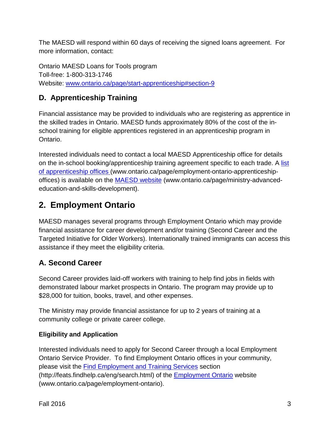The MAESD will respond within 60 days of receiving the signed loans agreement. For more information, contact:

Ontario MAESD Loans for Tools program Toll-free: 1-800-313-1746 Website: [www.ontario.ca/page/start-apprenticeship#section-9](http://www.ontario.ca/page/start-apprenticeship%23section-9)

# <span id="page-4-0"></span>**D. Apprenticeship Training**

Financial assistance may be provided to individuals who are registering as apprentice in the skilled trades in Ontario. MAESD funds approximately 80% of the cost of the inschool training for eligible apprentices registered in an apprenticeship program in Ontario.

Interested individuals need to contact a local MAESD Apprenticeship office for details on the in-school booking/apprenticeship training agreement specific to each trade. A list [of apprenticeship offices](http://www.ontario.ca/page/employment-ontario-apprenticeship-offices) (www.ontario.ca/page/employment-ontario-apprenticeshipoffices) is available on the [MAESD website](http://www.ontario.ca/page/ministry-advanced-education-and-skills-development) (www.ontario.ca/page/ministry-advancededucation-and-skills-development).

# <span id="page-4-1"></span>**2. Employment Ontario**

MAESD manages several programs through Employment Ontario which may provide financial assistance for career development and/or training (Second Career and the Targeted Initiative for Older Workers). Internationally trained immigrants can access this assistance if they meet the eligibility criteria.

# <span id="page-4-2"></span>**A. Second Career**

Second Career provides laid-off workers with training to help find jobs in fields with demonstrated labour market prospects in Ontario. The program may provide up to \$28,000 for tuition, books, travel, and other expenses.

The Ministry may provide financial assistance for up to 2 years of training at a community college or private career college.

### **Eligibility and Application**

Interested individuals need to apply for Second Career through a local Employment Ontario Service Provider. To find Employment Ontario offices in your community, please visit the [Find Employment and Training Services](http://feats.findhelp.ca/eng/search.html) section (http://feats.findhelp.ca/eng/search.html) of the [Employment Ontario](http://www.ontario.ca/page/employment-ontario) website (www.ontario.ca/page/employment-ontario).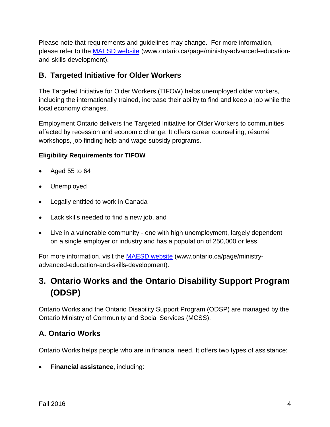Please note that requirements and guidelines may change. For more information, please refer to the MAESD website (www.ontario.ca/page/ministry-advanced-educationand-skills-development).

## <span id="page-5-0"></span>**B. Targeted Initiative for Older Workers**

The Targeted Initiative for Older Workers (TIFOW) helps unemployed older workers, including the internationally trained, increase their ability to find and keep a job while the local economy changes.

Employment Ontario delivers the Targeted Initiative for Older Workers to communities affected by recession and economic change. It offers career counselling, résumé workshops, job finding help and wage subsidy programs.

#### **Eligibility Requirements for TIFOW**

- Aged 55 to 64
- Unemployed
- Legally entitled to work in Canada
- Lack skills needed to find a new job, and
- Live in a vulnerable community one with high unemployment, largely dependent on a single employer or industry and has a population of 250,000 or less.

For more information, visit the **MAESD website** (www.ontario.ca/page/ministryadvanced-education-and-skills-development).

# <span id="page-5-1"></span>**3. Ontario Works and the Ontario Disability Support Program (ODSP)**

Ontario Works and the Ontario Disability Support Program (ODSP) are managed by the Ontario Ministry of Community and Social Services (MCSS).

## <span id="page-5-2"></span>**A. Ontario Works**

Ontario Works helps people who are in financial need. It offers two types of assistance:

• **Financial assistance**, including: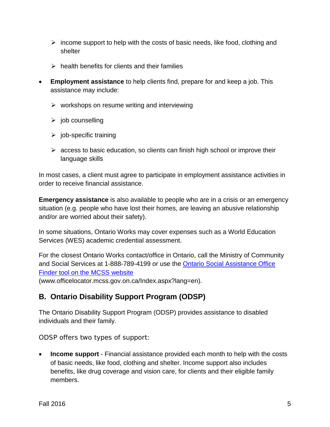- $\triangleright$  income support to help with the costs of basic needs, like food, clothing and shelter
- $\triangleright$  health benefits for clients and their families
- **Employment assistance** to help clients find, prepare for and keep a job. This assistance may include:
	- $\triangleright$  workshops on resume writing and interviewing
	- $\triangleright$  job counselling
	- $\triangleright$  job-specific training
	- $\triangleright$  access to basic education, so clients can finish high school or improve their language skills

In most cases, a client must agree to participate in employment assistance activities in order to receive financial assistance.

**Emergency assistance** is also available to people who are in a crisis or an emergency situation (e.g. people who have lost their homes, are leaving an abusive relationship and/or are worried about their safety).

In some situations, Ontario Works may cover expenses such as a World Education Services (WES) academic credential assessment.

For the closest Ontario Works contact/office in Ontario, call the Ministry of Community and Social Services at 1-888-789-4199 or use the Ontario Social Assistance Office Finder tool on the MCSS website

(www.officelocator.mcss.gov.on.ca/Index.aspx?lang=en).

### <span id="page-6-0"></span>**B. Ontario Disability Support Program (ODSP)**

The Ontario Disability Support Program (ODSP) provides assistance to disabled individuals and their family.

ODSP offers two types of support:

• **[Income support](http://www.mcss.gov.on.ca/en/mcss/programs/social/odsp/income_support/index.aspx)** - Financial assistance provided each month to help with the costs of basic needs, like food, clothing and shelter. Income support also includes benefits, like drug coverage and vision care, for clients and their eligible family members.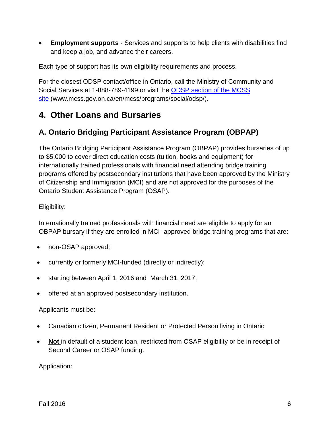**[Employment supports](http://www.mcss.gov.on.ca/en/mcss/programs/social/odsp/employment_support/index.aspx)** - Services and supports to help clients with disabilities find and keep a job, and advance their careers.

Each type of support has its own eligibility requirements and process.

For the closest ODSP contact/office in Ontario, call the Ministry of Community and Social Services at 1-888-789-4199 or visit the [ODSP section of the MCSS](http://www.mcss.gov.on.ca/en/mcss/programs/social/odsp/)  [site](http://www.mcss.gov.on.ca/en/mcss/programs/social/odsp/) [\(www.mcss.gov.on.ca/en/mcss/programs/social/odsp/\)](http://www.mcss.gov.on.ca/en/mcss/programs/social/odsp/).

# <span id="page-7-0"></span>**4. Other Loans and Bursaries**

## <span id="page-7-1"></span>**A. Ontario Bridging Participant Assistance Program (OBPAP)**

The Ontario Bridging Participant Assistance Program (OBPAP) provides bursaries of up to \$5,000 to cover direct education costs (tuition, books and equipment) for internationally trained professionals with financial need attending bridge training programs offered by postsecondary institutions that have been approved by the Ministry of Citizenship and Immigration (MCI) and are not approved for the purposes of the Ontario Student Assistance Program (OSAP).

Eligibility:

Internationally trained professionals with financial need are eligible to apply for an OBPAP bursary if they are enrolled in MCI- approved bridge training programs that are:

- non-OSAP approved;
- currently or formerly MCI-funded (directly or indirectly);
- starting between April 1, 2016 and March 31, 2017;
- offered at an approved postsecondary institution.

#### Applicants must be:

- Canadian citizen, Permanent Resident or Protected Person living in Ontario
- **Not** in default of a student loan, restricted from OSAP eligibility or be in receipt of Second Career or OSAP funding.

Application: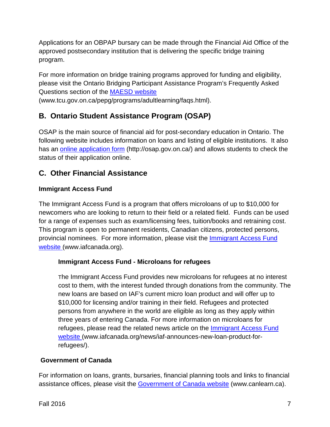Applications for an OBPAP bursary can be made through the Financial Aid Office of the approved postsecondary institution that is delivering the specific bridge training program.

For more information on bridge training programs approved for funding and eligibility, please visit the Ontario Bridging Participant Assistance Program's Frequently Asked Questions section of the [MAESD website](http://www.tcu.gov.on.ca/pepg/programs/adultlearning/faqs.html)

[\(www.tcu.gov.on.ca/pepg/programs/adultlearning/faqs.html\)](http://www.tcu.gov.on.ca/pepg/programs/adultlearning/faqs.html).

## <span id="page-8-0"></span>**B. Ontario Student Assistance Program (OSAP)**

OSAP is the main source of financial aid for post-secondary education in Ontario. The following website includes information on loans and listing of eligible institutions. It also has an [online application form](http://osap.gov.on.ca/) [\(http://osap.gov.on.ca/\)](http://osap.gov.on.ca/) and allows students to check the status of their application online.

## <span id="page-8-1"></span>**C. Other Financial Assistance**

#### **Immigrant Access Fund**

The Immigrant Access Fund is a program that offers microloans of up to \$10,000 for newcomers who are looking to return to their field or a related field. Funds can be used for a range of expenses such as exam/licensing fees, tuition/books and retraining cost. This program is open to permanent residents, Canadian citizens, protected persons, provincial nominees. For more information, please visit the [Immigrant Access Fund](http://www.iafcanada.org/)  [website](http://www.iafcanada.org/) [\(www.iafcanada.org\)](http://www.iafcanada.org/).

#### **Immigrant Access Fund - Microloans for refugees**

The Immigrant Access Fund provides new microloans for refugees at no interest cost to them, with the interest funded through donations from the community. The new loans are based on IAF's current micro loan product and will offer up to \$10,000 for licensing and/or training in their field. Refugees and protected persons from anywhere in the world are eligible as long as they apply within three years of entering Canada. For more information on microloans for refugees, please read the related news article on the [Immigrant Access Fund](http://www.iafcanada.org/news/iaf-announces-new-loan-product-for-refugees/)  [website](http://www.iafcanada.org/news/iaf-announces-new-loan-product-for-refugees/) [\(www.iafcanada.org/news/iaf-announces-new-loan-product-for](http://www.iafcanada.org/news/iaf-announces-new-loan-product-for-refugees/)[refugees/\)](http://www.iafcanada.org/news/iaf-announces-new-loan-product-for-refugees/).

#### **Government of Canada**

For information on loans, grants, bursaries, financial planning tools and links to financial assistance offices, please visit the **Government of Canada website** [\(www.canlearn.ca\)](http://www.canlearn.ca/).